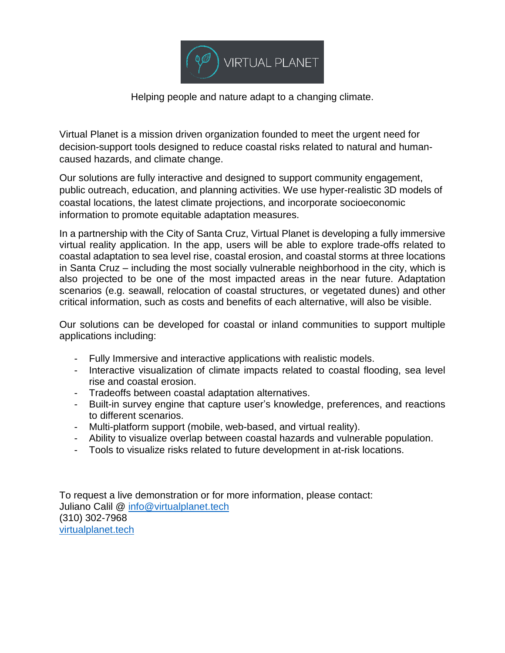

Helping people and nature adapt to a changing climate.

Virtual Planet is a mission driven organization founded to meet the urgent need for decision-support tools designed to reduce coastal risks related to natural and humancaused hazards, and climate change.

Our solutions are fully interactive and designed to support community engagement, public outreach, education, and planning activities. We use hyper-realistic 3D models of coastal locations, the latest climate projections, and incorporate socioeconomic information to promote equitable adaptation measures.

In a partnership with the City of Santa Cruz, Virtual Planet is developing a fully immersive virtual reality application. In the app, users will be able to explore trade-offs related to coastal adaptation to sea level rise, coastal erosion, and coastal storms at three locations in Santa Cruz – including the most socially vulnerable neighborhood in the city, which is also projected to be one of the most impacted areas in the near future. Adaptation scenarios (e.g. seawall, relocation of coastal structures, or vegetated dunes) and other critical information, such as costs and benefits of each alternative, will also be visible.

Our solutions can be developed for coastal or inland communities to support multiple applications including:

- Fully Immersive and interactive applications with realistic models.
- Interactive visualization of climate impacts related to coastal flooding, sea level rise and coastal erosion.
- Tradeoffs between coastal adaptation alternatives.
- Built-in survey engine that capture user's knowledge, preferences, and reactions to different scenarios.
- Multi-platform support (mobile, web-based, and virtual reality).
- Ability to visualize overlap between coastal hazards and vulnerable population.
- Tools to visualize risks related to future development in at-risk locations.

To request a live demonstration or for more information, please contact: Juliano Calil @ [info@virtualplanet.tech](mailto:info@virtualplanet.tech) (310) 302-7968 [virtualplanet.tech](http://virtualplanet.tech/)